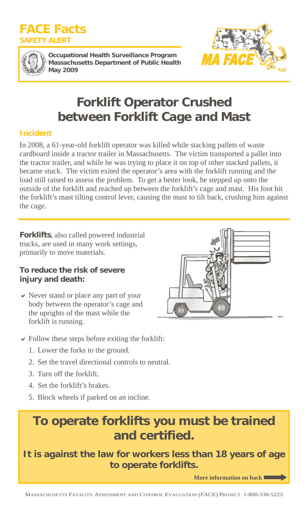



**Occupational Health Surveillance Program Massachusetts Department of Public Health May 2009** 



# **Forklift Operator Crushed between Forklift Cage and Mast**

## **Incident**

In 2008, a 61-year-old forklift operator was killed while stacking pallets of waste cardboard inside a tractor trailer in Massachusetts. The victim transported a pallet into the tractor trailer, and while he was trying to place it on top of other stacked pallets, it became stuck. The victim exited the operator's area with the forklift running and the load still raised to assess the problem. To get a better look, he stepped up onto the outside of the forklift and reached up between the forklift's cage and mast. His foot hit the forklift's mast tilting control lever, causing the mast to tilt back, crushing him against the cage.

**Forklifts**, also called powered industrial trucks, are used in many work settings, primarily to move materials.

### **To reduce the risk of severe injury and death:**

 $\vee$  Never stand or place any part of your body between the operator's cage and the uprights of the mast while the forklift is running.



- $\triangleright$  Follow these steps before exiting the forklift:
	- 1. Lower the forks to the ground.
	- 2. Set the travel directional controls to neutral.
	- 3. Turn off the forklift.
	- 4. Set the forklift's brakes.
	- 5. Block wheels if parked on an incline.

## **To operate forklifts you must be trained and certified.**

## **It is against the law for workers less than 18 years of age to operate forklifts.**

**More information on back**